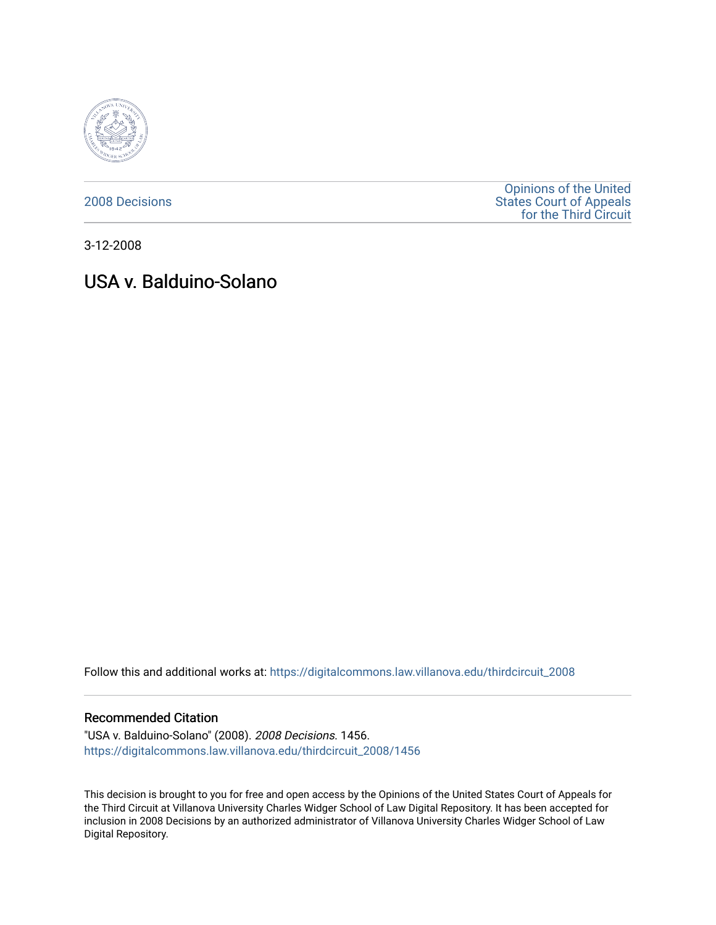

[2008 Decisions](https://digitalcommons.law.villanova.edu/thirdcircuit_2008)

[Opinions of the United](https://digitalcommons.law.villanova.edu/thirdcircuit)  [States Court of Appeals](https://digitalcommons.law.villanova.edu/thirdcircuit)  [for the Third Circuit](https://digitalcommons.law.villanova.edu/thirdcircuit) 

3-12-2008

# USA v. Balduino-Solano

Follow this and additional works at: [https://digitalcommons.law.villanova.edu/thirdcircuit\\_2008](https://digitalcommons.law.villanova.edu/thirdcircuit_2008?utm_source=digitalcommons.law.villanova.edu%2Fthirdcircuit_2008%2F1456&utm_medium=PDF&utm_campaign=PDFCoverPages) 

#### Recommended Citation

"USA v. Balduino-Solano" (2008). 2008 Decisions. 1456. [https://digitalcommons.law.villanova.edu/thirdcircuit\\_2008/1456](https://digitalcommons.law.villanova.edu/thirdcircuit_2008/1456?utm_source=digitalcommons.law.villanova.edu%2Fthirdcircuit_2008%2F1456&utm_medium=PDF&utm_campaign=PDFCoverPages) 

This decision is brought to you for free and open access by the Opinions of the United States Court of Appeals for the Third Circuit at Villanova University Charles Widger School of Law Digital Repository. It has been accepted for inclusion in 2008 Decisions by an authorized administrator of Villanova University Charles Widger School of Law Digital Repository.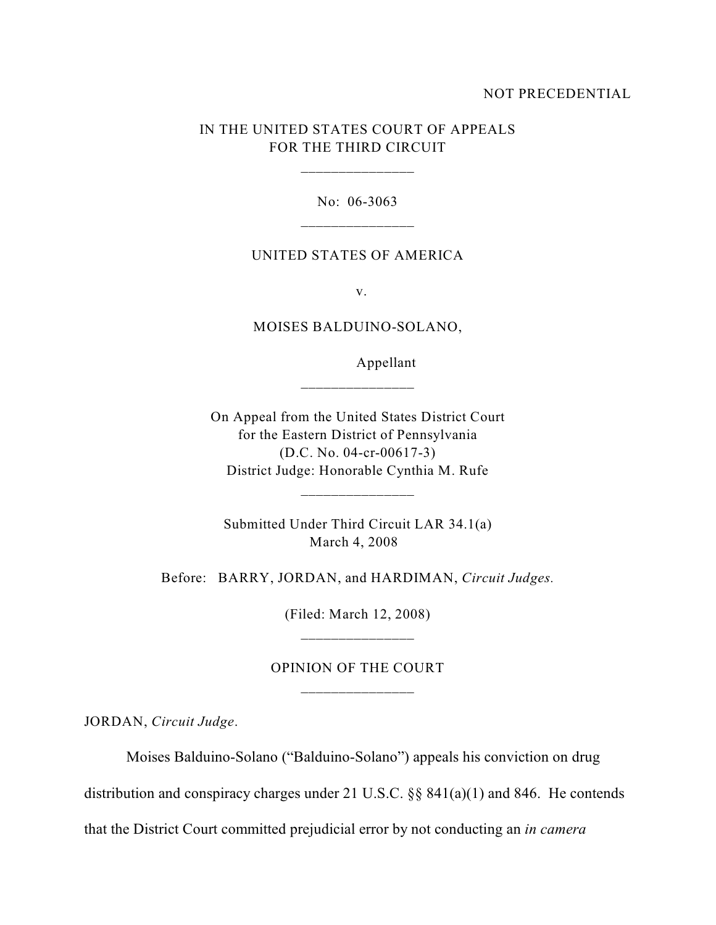### NOT PRECEDENTIAL

## IN THE UNITED STATES COURT OF APPEALS FOR THE THIRD CIRCUIT

\_\_\_\_\_\_\_\_\_\_\_\_\_\_\_

No: 06-3063

#### UNITED STATES OF AMERICA

v.

MOISES BALDUINO-SOLANO,

\_\_\_\_\_\_\_\_\_\_\_\_\_\_\_

Appellant

On Appeal from the United States District Court for the Eastern District of Pennsylvania (D.C. No. 04-cr-00617-3) District Judge: Honorable Cynthia M. Rufe

\_\_\_\_\_\_\_\_\_\_\_\_\_\_\_

Submitted Under Third Circuit LAR 34.1(a) March 4, 2008

Before: BARRY, JORDAN, and HARDIMAN, *Circuit Judges.*

(Filed: March 12, 2008) \_\_\_\_\_\_\_\_\_\_\_\_\_\_\_

# OPINION OF THE COURT \_\_\_\_\_\_\_\_\_\_\_\_\_\_\_

JORDAN, *Circuit Judge*.

Moises Balduino-Solano ("Balduino-Solano") appeals his conviction on drug

distribution and conspiracy charges under 21 U.S.C. §§ 841(a)(1) and 846. He contends

that the District Court committed prejudicial error by not conducting an *in camera*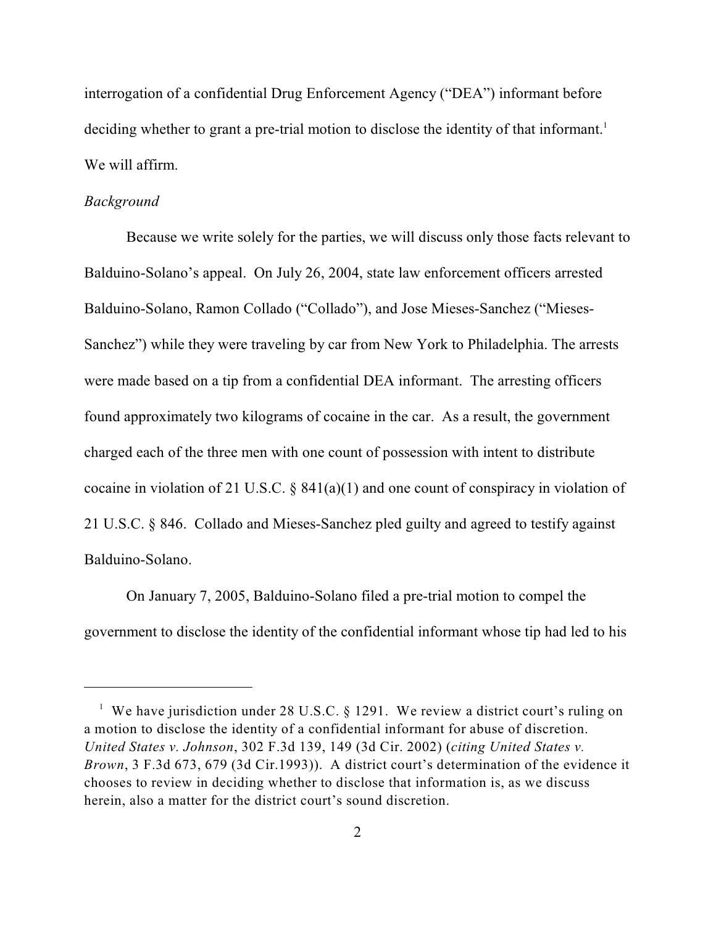interrogation of a confidential Drug Enforcement Agency ("DEA") informant before deciding whether to grant a pre-trial motion to disclose the identity of that informant.<sup>1</sup> We will affirm.

#### *Background*

Because we write solely for the parties, we will discuss only those facts relevant to Balduino-Solano's appeal. On July 26, 2004, state law enforcement officers arrested Balduino-Solano, Ramon Collado ("Collado"), and Jose Mieses-Sanchez ("Mieses-Sanchez") while they were traveling by car from New York to Philadelphia. The arrests were made based on a tip from a confidential DEA informant. The arresting officers found approximately two kilograms of cocaine in the car. As a result, the government charged each of the three men with one count of possession with intent to distribute cocaine in violation of 21 U.S.C. § 841(a)(1) and one count of conspiracy in violation of 21 U.S.C. § 846. Collado and Mieses-Sanchez pled guilty and agreed to testify against Balduino-Solano.

On January 7, 2005, Balduino-Solano filed a pre-trial motion to compel the government to disclose the identity of the confidential informant whose tip had led to his

<sup>&</sup>lt;sup>1</sup> We have jurisdiction under 28 U.S.C.  $\S$  1291. We review a district court's ruling on a motion to disclose the identity of a confidential informant for abuse of discretion. *United States v. Johnson*, 302 F.3d 139, 149 (3d Cir. 2002) (*citing United States v. Brown*, 3 F.3d 673, 679 (3d Cir.1993)). A district court's determination of the evidence it chooses to review in deciding whether to disclose that information is, as we discuss herein, also a matter for the district court's sound discretion.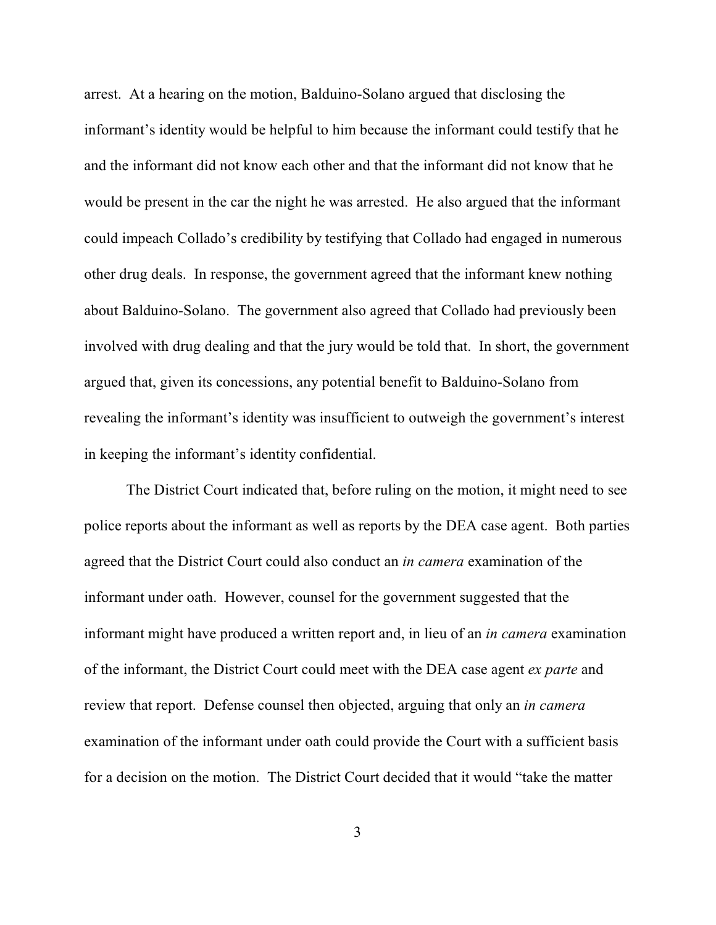arrest. At a hearing on the motion, Balduino-Solano argued that disclosing the informant's identity would be helpful to him because the informant could testify that he and the informant did not know each other and that the informant did not know that he would be present in the car the night he was arrested.He also argued that the informant could impeach Collado's credibility by testifying that Collado had engaged in numerous other drug deals. In response, the government agreed that the informant knew nothing about Balduino-Solano. The government also agreed that Collado had previously been involved with drug dealing and that the jury would be told that. In short, the government argued that, given its concessions, any potential benefit to Balduino-Solano from revealing the informant's identity was insufficient to outweigh the government's interest in keeping the informant's identity confidential.

The District Court indicated that, before ruling on the motion, it might need to see police reports about the informant as well as reports by the DEA case agent. Both parties agreed that the District Court could also conduct an *in camera* examination of the informant under oath. However, counsel for the government suggested that the informant might have produced a written report and, in lieu of an *in camera* examination of the informant, the District Court could meet with the DEA case agent *ex parte* and review that report. Defense counsel then objected, arguing that only an *in camera* examination of the informant under oath could provide the Court with a sufficient basis for a decision on the motion. The District Court decided that it would "take the matter

3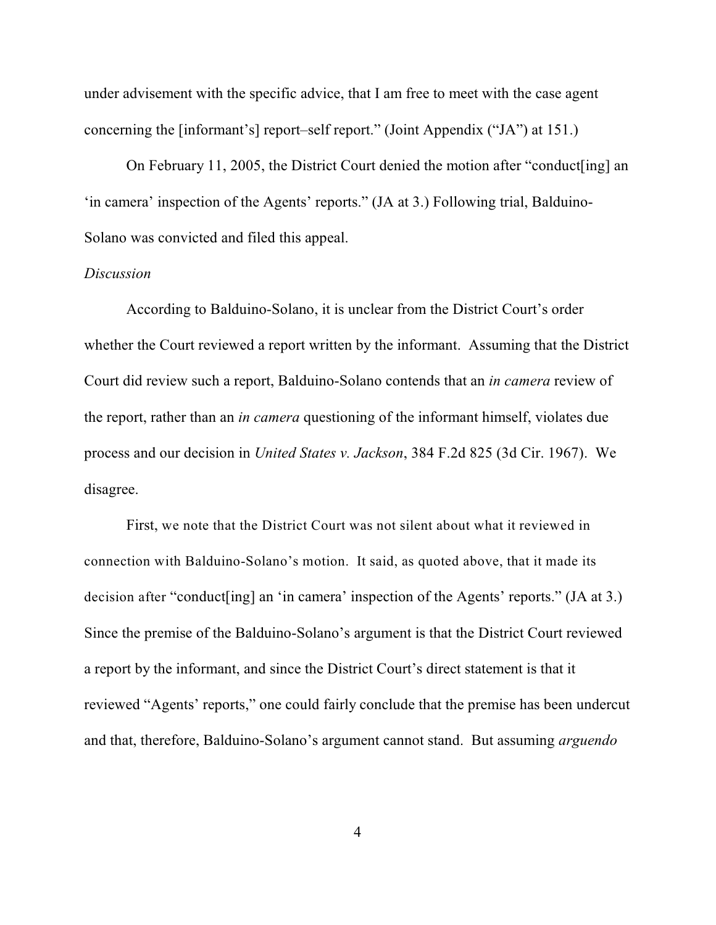under advisement with the specific advice, that I am free to meet with the case agent concerning the [informant's] report–self report." (Joint Appendix ("JA") at 151.)

On February 11, 2005, the District Court denied the motion after "conduct[ing] an 'in camera' inspection of the Agents' reports." (JA at 3.) Following trial, Balduino-Solano was convicted and filed this appeal.

## *Discussion*

According to Balduino-Solano, it is unclear from the District Court's order whether the Court reviewed a report written by the informant. Assuming that the District Court did review such a report, Balduino-Solano contends that an *in camera* review of the report, rather than an *in camera* questioning of the informant himself, violates due process and our decision in *United States v. Jackson*, 384 F.2d 825 (3d Cir. 1967).We disagree.

First, we note that the District Court was not silent about what it reviewed in connection with Balduino-Solano's motion. It said, as quoted above, that it made its decision after "conduct[ing] an 'in camera' inspection of the Agents' reports." (JA at 3.) Since the premise of the Balduino-Solano's argument is that the District Court reviewed a report by the informant, and since the District Court's direct statement is that it reviewed "Agents' reports," one could fairly conclude that the premise has been undercut and that, therefore, Balduino-Solano's argument cannot stand. But assuming *arguendo*

4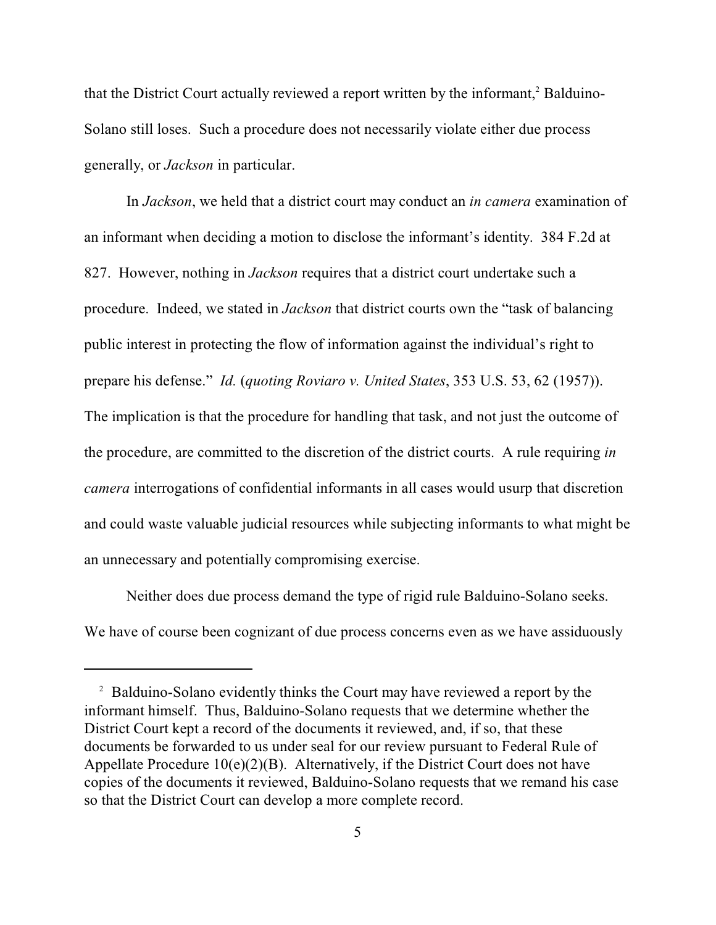that the District Court actually reviewed a report written by the informant,<sup>2</sup> Balduino-Solano still loses. Such a procedure does not necessarily violate either due process generally, or *Jackson* in particular.

In *Jackson*, we held that a district court may conduct an *in camera* examination of an informant when deciding a motion to disclose the informant's identity. 384 F.2d at 827. However, nothing in *Jackson* requires that a district court undertake such a procedure. Indeed, we stated in *Jackson* that district courts own the "task of balancing public interest in protecting the flow of information against the individual's right to prepare his defense." *Id.* (*quoting Roviaro v. United States*, 353 U.S. 53, 62 (1957)). The implication is that the procedure for handling that task, and not just the outcome of the procedure, are committed to the discretion of the district courts. A rule requiring *in camera* interrogations of confidential informants in all cases would usurp that discretion and could waste valuable judicial resources while subjecting informants to what might be an unnecessary and potentially compromising exercise.

Neither does due process demand the type of rigid rule Balduino-Solano seeks. We have of course been cognizant of due process concerns even as we have assiduously

<sup>&</sup>lt;sup>2</sup> Balduino-Solano evidently thinks the Court may have reviewed a report by the informant himself. Thus, Balduino-Solano requests that we determine whether the District Court kept a record of the documents it reviewed, and, if so, that these documents be forwarded to us under seal for our review pursuant to Federal Rule of Appellate Procedure  $10(e)(2)(B)$ . Alternatively, if the District Court does not have copies of the documents it reviewed, Balduino-Solano requests that we remand his case so that the District Court can develop a more complete record.